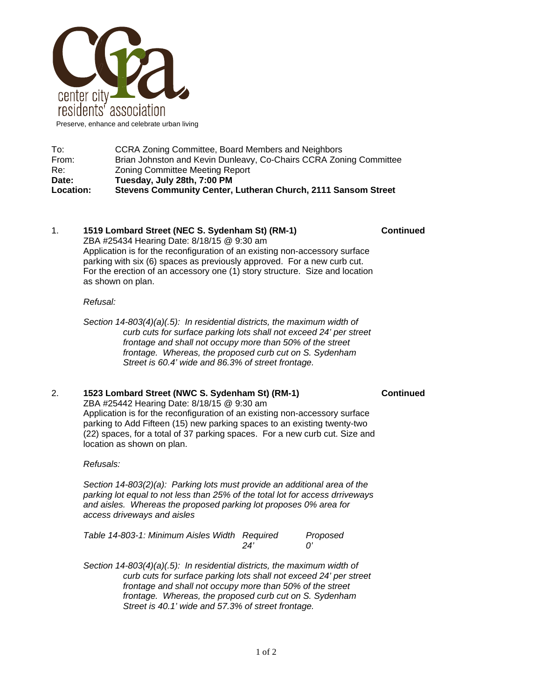

To: CCRA Zoning Committee, Board Members and Neighbors<br>
From: From: Brian Johnston and Kevin Dunleavy, Co-Chairs CCRA Zon Brian Johnston and Kevin Dunleavy, Co-Chairs CCRA Zoning Committee Re: Zoning Committee Meeting Report **Date: Tuesday, July 28th, 7:00 PM Location: Stevens Community Center, Lutheran Church, 2111 Sansom Street**

## 1. **1519 Lombard Street (NEC S. Sydenham St) (RM-1) Continued**  ZBA #25434 Hearing Date: 8/18/15 @ 9:30 am Application is for the reconfiguration of an existing non-accessory surface parking with six (6) spaces as previously approved. For a new curb cut. For the erection of an accessory one (1) story structure. Size and location as shown on plan.

### *Refusal:*

*Section 14-803(4)(a)(.5): In residential districts, the maximum width of curb cuts for surface parking lots shall not exceed 24' per street frontage and shall not occupy more than 50% of the street frontage. Whereas, the proposed curb cut on S. Sydenham Street is 60.4' wide and 86.3% of street frontage.* 

## 2. **1523 Lombard Street (NWC S. Sydenham St) (RM-1) Continued**

ZBA #25442 Hearing Date: 8/18/15 @ 9:30 am Application is for the reconfiguration of an existing non-accessory surface parking to Add Fifteen (15) new parking spaces to an existing twenty-two (22) spaces, for a total of 37 parking spaces. For a new curb cut. Size and location as shown on plan.

## *Refusals:*

*Section 14-803(2)(a): Parking lots must provide an additional area of the parking lot equal to not less than 25% of the total lot for access drriveways and aisles. Whereas the proposed parking lot proposes 0% area for access driveways and aisles* 

| Table 14-803-1: Minimum Aisles Width Required |     | Proposed |
|-----------------------------------------------|-----|----------|
|                                               | 24' |          |

*Section 14-803(4)(a)(.5): In residential districts, the maximum width of curb cuts for surface parking lots shall not exceed 24' per street frontage and shall not occupy more than 50% of the street frontage. Whereas, the proposed curb cut on S. Sydenham Street is 40.1' wide and 57.3% of street frontage.*